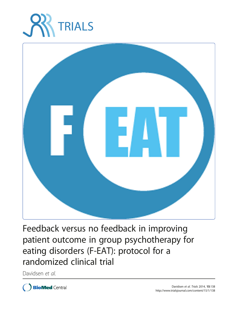



Feedback versus no feedback in improving patient outcome in group psychotherapy for eating disorders (F-EAT): protocol for a randomized clinical trial

Davidsen et al.

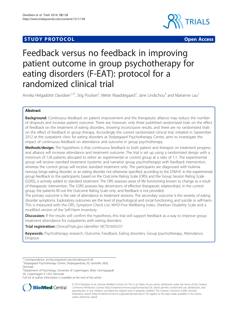## **STUDY PROTOCOL CONSUMING THE CONSUMING OPEN ACCESS**



# Feedback versus no feedback in improving patient outcome in group psychotherapy for eating disorders (F-EAT): protocol for a randomized clinical trial

Annika Helgadóttir Davidsen<sup>1,2\*</sup>, Stig Poulsen<sup>2</sup>, Mette Waaddegaard<sup>1</sup>, Jane Lindschou<sup>3</sup> and Marianne Lau<sup>1</sup>

## Abstract

**Background:** Continuous feedback on patient improvement and the therapeutic alliance may reduce the number of dropouts and increase patient outcome. There are, however, only three published randomized trials on the effect of feedback on the treatment of eating disorders, showing inconclusive results, and there are no randomized trials on the effect of feedback in group therapy. Accordingly the current randomized clinical trial, initiated in September 2012 at the outpatient clinic for eating disorders at Stolpegaard Psychotherapy Centre, aims to investigate the impact of continuous feedback on attendance and outcome in group psychotherapy.

Methods/design: The hypothesis is that continuous feedback to both patient and therapist on treatment progress and alliance will increase attendance and treatment outcome. The trial is set up using a randomized design with a minimum of 128 patients allocated to either an experimental or control group at a ratio of 1:1. The experimental group will receive standard treatment (systemic and narrative group psychotherapy) with feedback intervention, whereas the control group will receive standard treatment only. The participants are diagnosed with bulimia nervosa, binge eating disorder, or an eating disorder not otherwise specified, according to the DSM-IV. In the experimental group feedback to the participants, based on the Outcome Rating Scale (ORS) and the Group Session Rating Scale (GSRS), is actively added to standard treatment. The ORS assesses areas of life functioning known to change as a result of therapeutic intervention. The GSRS assesses key dimensions of effective therapeutic relationships. In the control group, the patients fill out the Outcome Rating Scale only, and feedback is not provided.

The primary outcome is the rate of attendance to treatment sessions. The secondary outcome is the severity of eating disorder symptoms. Exploratory outcomes are the level of psychological and social functioning, and suicide or self-harm. This is measured with the ORS, Symptom Check List, WHO-Five Wellbeing Index, Sheehan Disability Scale and a modified version of the Self-Harm Inventory.

**Discussion:** If the results will confirm the hypothesis, this trial will support feedback as a way to improve group treatment attendance for outpatients with eating disorders.

Trial registration: ClinicalTrials.gov identifier: [NCT01693237](http://clinicaltrials.gov/ct2/show/NCT01693237?term=feedback+versus+no+feedback&rank=1)

Keywords: Psychotherapy research, Outcome, Feedback, Eating disorders, Group psychotherapy, Attendance, Dropout

\* Correspondence: [annika.helgadottir.davidsen@regionh.dk](mailto:annika.helgadottir.davidsen@regionh.dk) <sup>1</sup>

<sup>1</sup>Stolpegaard Psychotherapy Centre, Stolpegaardsvej 20, Gentofte 2820, Denmark

2 Department of Psychology, University of Copenhagen, Øster Farimagsgade 2A, Copenhagen K 1353, Denmark

Full list of author information is available at the end of the article



© 2014 Davidsen et al.; licensee BioMed Central Ltd. This is an Open Access article distributed under the terms of the Creative Commons Attribution License [\(http://creativecommons.org/licenses/by/2.0\)](http://creativecommons.org/licenses/by/2.0), which permits unrestricted use, distribution, and reproduction in any medium, provided the original work is properly credited. The Creative Commons Public Domain Dedication waiver [\(http://creativecommons.org/publicdomain/zero/1.0/](http://creativecommons.org/publicdomain/zero/1.0/)) applies to the data made available in this article, unless otherwise stated.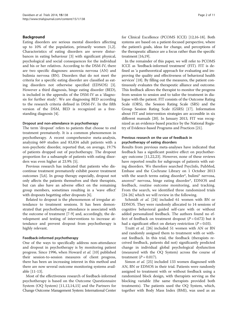## Background

Eating disorders are serious mental disorders affecting up to 10% of the population, primarily women [\[1,2](#page-10-0)]. Characteristics of eating disorders are severe disturbances in eating behaviour [\[3\]](#page-10-0) with significant physical, psychological and social consequences for the individual and his or her relatives. According to the DSM-IV, there are two specific diagnoses: anorexia nervosa (AN) and bulimia nervosa (BN). Disorders that do not meet the criteria for a specific eating disorder are classified as eating disorders not otherwise specified (EDNOS) [\[3](#page-10-0)]. However a third diagnosis, binge eating disorder (BED), is included in the appendix of the DSM-IV as a 'diagnosis for further study'. We are diagnosing BED according to the research criteria defined in DSM-IV. In the fifth version of the DSM, BED is recognized as a freestanding diagnosis [[4\]](#page-10-0).

#### Dropout and non-attendance in psychotherapy

The term 'dropout' refers to patients that choose to end treatment prematurely. It is a common phenomenon in psychotherapy. A recent comprehensive meta-analysis, analyzing 669 studies and 83,834 adult patients with a non-psychotic disorder, reported that, on average, 19.7% of patients dropped out of psychotherapy. The dropout proportion for a subsample of patients with eating disorders was even higher at 23.9% [[5\]](#page-10-0).

Previous research has indicated that patients who discontinue treatment prematurely exhibit poorer treatment outcomes [\[5,6](#page-10-0)]. In group therapy especially, dropout not only affects the patients themselves and their therapists, but can also have an adverse effect on the remaining group members, sometimes resulting in a 'wave effect' with dropouts begetting other dropouts [[6](#page-10-0)].

Related to dropout is the phenomenon of irregular attendance to treatment sessions. It has been demonstrated that psychotherapy attendance is associated with the outcome of treatment [\[7-9](#page-10-0)] and, accordingly, the development and testing of interventions to increase attendance and prevent dropout from psychotherapy is highly relevant.

## Feedback-informed psychotherapy

One of the ways to specifically address non-attendance and dropout in psychotherapy is by monitoring patient progress. Since 1996, when Howard et al. [[10\]](#page-10-0) published their session-to-session measures of client progress, there has been an increasing interest in this method and there are now several outcome monitoring systems available [\[11](#page-10-0)-[13\]](#page-10-0).

Most of the effectiveness research of feedback-informed psychotherapy is based on the Outcome Questionnaire System (OQ System) [\[11](#page-10-0),[12,14,15](#page-10-0)] and the Partners for Change Outcome Management System: International Center for Clinical Excellence (PCOMS ICCE) [\[12,16-18\]](#page-10-0). Both systems are based on a patient-focused perspective, where the patient's goals, ideas for change, and perceptions of the therapeutic alliance are a focus rather than the specific treatment [[16,19\]](#page-10-0).

In the remainder of this paper, we will refer to PCOMS ICCE as 'feedback-informed treatment' (FIT). FIT is defined as 'a pantheoretical approach for evaluating and improving the quality and effectiveness of behavioral health services' [[18](#page-10-0)]. By filling out the measures, the patient continuously evaluates the therapeutic alliance and outcome. This feedback allows the therapist to monitor the progress from session to session and to tailor the treatment in dialogue with the patient. FIT consists of the Outcome Rating Scale (ORS), the Session Rating Scale (SRS) and the Group Session Rating Scale (GSRS) [\[17](#page-10-0)]. Information about FIT and intervention strategies are accessible in six different manuals [\[20](#page-10-0)]. In January 2013, FIT was recognized as an evidence-based practice by the National Registry of Evidence-based Programs and Practices [[21](#page-10-0)].

## Previous research on the use of feedback in psychotherapy of eating disorders

Results from previous meta-analyses have indicated that feedback has a significant positive effect on psychotherapy outcome [[11,22,23](#page-10-0)]. However, none of these reviews have reported results for subgroups of patients with eating disorders. We therefore searched PsycInfo, PubMed, Embase and the Cochrane Library on 1 October 2013 with the search terms eating disorder\*, bulimi\* nervosa, anorexi\* nervosa, binge eating disorder\*, EDNOS and feedback, routine outcome monitoring, and tracking. From the search, we identified three randomized trials [[24](#page-10-0)-[26\]](#page-10-0) which we will review in the following.

Schmidt et al. [[24\]](#page-10-0) included 61 women with BN or EDNOS. They were randomly allocated to 14 sessions of cognitive behavioral guided self-care with or without added personalized feedback. The authors found no effect of feedback on treatment dropout ( $P = 0.672$ ) but it had a significant effect on dietary restriction ( $P = 0.03$ ).

Truitt et al. [\[26](#page-10-0)] included 51 women with AN or BN and randomly assigned them to treatment with or without feedback. In this trial, the feedback (therapists received feedback, patients did not) significantly predicted change in individual global psychological dysfunction (measured with the OQ System) across the course of treatment ( $P = 0.017$ ).

Simon et al. [[25\]](#page-10-0) included 133 women diagnosed with AN, BN or EDNOS in their trial. Patients were randomly assigned to treatment with or without feedback using a randomized block design, with therapists serving as the blocking variable (the same therapists provided both treatments). The patients used the OQ System, which, together with Body Mass Index (BMI), was used as an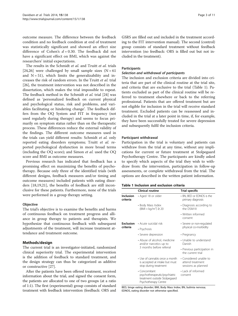outcome measure. The difference between the feedback condition and no feedback condition at end of treatment was statistically significant and showed an effect size difference of Cohen's  $d = 0.30$ . The feedback did not have a significant effect on BMI, which was against the researchers' initial expectations.

The results in the Schmidt et al. and Truitt et al. trials [[24,26\]](#page-10-0) were challenged by small sample sizes  $(N = 61)$ and  $N = 51$ ), which limits the generalizability and increases the risk of random errors. In the Truitt et al. trial [[26\]](#page-10-0), the treatment intervention was not described in the dissertation, which makes the trial impossible to repeat. The feedback method in the Schmidt et al. trial [\[24](#page-10-0)] was defined as 'personalized feedback on current physical and psychological status, risk and problems, and variables facilitating or hindering change'. The feedback differs from the OQ System and FIT in frequency (not used regularly during therapy) and seems to focus primarily on symptom status rather than on the therapeutic process. These differences reduce the external validity of the findings. The different outcome measures used in the trials can yield different results: Schmidt et al. only reported eating disorders symptoms; Truitt et al. reported psychological dysfunction in more broad terms (including the OQ score); and Simon et al. used the OQ score and BMI as outcome measures.

Previous research has indicated that feedback has a promising effect on maximizing the benefits of psychotherapy. Because only three of the identified trials (with different designs, feedback measures and/or timing and outcome measures) included patients with eating disorders [\[18,19,21\]](#page-10-0), the benefits of feedback are still inconclusive for these patients. Furthermore, none of the trials were performed in a group therapy setting.

## **Objective**

The trial's objective is to examine the benefits and harms of continuous feedback on treatment progress and alliance in group therapy to patients and therapists. We hypothesize that continuous feedback with subsequent adjustments of the treatment, will increase treatment attendance and treatment outcome.

## Methods/design

The current trial is an investigator-initiated, randomized clinical superiority trial. The experimental intervention is the addition of feedback to standard treatment, and the design strategy can thus be categorized as additive or constructive [\[27](#page-10-0)].

After the patients have been offered treatment, received information about the trial, and signed the consent form, the patients are allocated to one of two groups (at a ratio of 1:1). The first (experimental) group consists of standard treatment with feedback intervention (feedback: ORS and

GSRS are filled out and included in the treatment according to the FIT intervention manual). The second (control) group consists of standard treatment without feedback intervention (no feedback: ORS is filled out but not included in the treatment).

## Participants

## Selection and withdrawal of participants

The inclusion and exclusion criteria are divided into criteria that are part of the clinical routine at the trial site, and criteria that are exclusive to the trial (Table 1). Patients excluded as part of the clinical routine will be referred to treatment elsewhere or back to the referring professional. Patients that are offered treatment but are not eligible for inclusion in the trial will receive standard treatment. Excluded patients can be reassessed and included in the trial at a later point in time, if, for example, they have been successfully treated for severe depression and subsequently fulfil the inclusion criteria.

## Participant withdrawal

Participation in the trial is voluntary and patients can withdraw from the trial at any time, without any implications for current or future treatment at Stolpegaard Psychotherapy Centre. The participants are kindly asked to specify which aspects of the trial they wish to withdraw from: the intervention, participation in follow-up assessments, or complete withdrawal from the trial. The options are described in the written patient information.

|                              | Clinical routine                                                                                        | Trial specific                                                    |  |  |
|------------------------------|---------------------------------------------------------------------------------------------------------|-------------------------------------------------------------------|--|--|
| Inclusion<br>criteria        | • Aged 18 or older                                                                                      | • BN, BED or EDNOS is the<br>primary diagnosis                    |  |  |
|                              | • Body Mass Index<br>$(BMI = kq/m^2) \ge 20$                                                            | • Diagnosis according to<br>the DSM-IV                            |  |  |
|                              |                                                                                                         | • Written informed<br>consent                                     |  |  |
| <b>Exclusion</b><br>criteria | • Acute suicidal risk                                                                                   | • Severe or non-regulated                                         |  |  |
|                              | • Psychosis                                                                                             | physical co-morbidity                                             |  |  |
|                              | • Severe depression                                                                                     | • Pregnancy                                                       |  |  |
|                              | • Abuse of alcohol, medicine<br>and/or narcotics up to                                                  | • Unable to understand<br>Danish                                  |  |  |
|                              | 3 months before referral                                                                                | • Previous participation in<br>the current trial                  |  |  |
|                              | • Use of cannabis once a month<br>is accepted at intake but must<br>stop during treatment               | • Considered unable to<br>attend treatment<br>sessions as planned |  |  |
|                              | • Concomitant<br>psychotherapeutic/psychiatric<br>treatment outside Stolpegaard<br>Psychotherapy Centre | • Lack of informed<br>consent                                     |  |  |

BED, binge eating disorder; BMI, Body Mass Index; BN, bulimia nervosa; EDNOS, eating disorder not otherwise specified.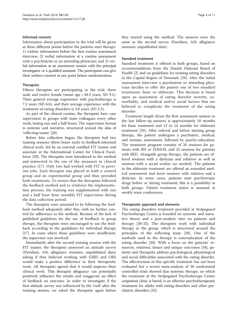## Informed consent

Information about participation in the trial will be given at three different points before the patients start therapy: 1) written information before the first routine assessment interview; 2) verbal information at a routine assessment with a psychiatrist or an attending physician; and 3) verbal information at an assessment session with the principal investigator or a qualified assistant. The participants can give their written consent at any point before randomization.

## **Therapists**

Fifteen therapists are participating in the trial, three male and twelve female (mean age = 44.3 years, SD 9.1). Their general average experience with psychotherapy is 7.2 years (SD 6.6), and their average experience with the treatment of eating disorders is 3.8 years (SD 5.2).

As part of the clinical routine, the therapists have case supervision in groups with team colleagues every other week, lasting one and a half hours. The supervision format is systemic and narrative, structured around the idea of 'reflecting teams' [[28](#page-10-0)].

Before data collection began, the therapists had two training sessions (three hours each) in feedback-informed clinical work, led by an external certified FIT trainer and associate at the International Center for Clinical Excellence [[20](#page-10-0)]. The therapists were introduced to the method and instructed in the use of the measures in clinical practice [[17](#page-10-0)]. Only two had worked with FIT in previous jobs. Each therapist was placed in both a control group and an experimental group and thus provided both treatments. To ensure that the therapists followed the feedback method and to reinforce the implementation process, the training was supplemented with one and a half hour hour monthly FIT supervision during the data collection period.

The therapists were assumed to be following the feedback method adequately after this, with no further control for adherence to the method. Because of the lack of published guidelines for the use of feedback in group therapy, the therapists were encouraged to use the feedback according to the guidelines for individual therapy [[17\]](#page-10-0). In cases where these guidelines were insufficient, the supervisor was involved.

Immediately after the second training session with the FIT trainer, the therapists answered an attitude survey (Davidsen, AH; allegiance measure; unpublished data) asking if they believed working with GSRS and ORS would make a positive difference in their therapeutic work. All therapists agreed that it would improve their clinical work. This therapist allegiance can potentially positively influence the results and exaggerate an effect of feedback on outcome. In order to investigate if the first attitude survey was influenced by the 'rush' after the training session, we asked the therapists again before they started using the method. The answers were the same in the second survey (Davidsen, AH; allegiance measure; unpublished data).

## Standard treatment

Standard treatment is offered in both groups, based on recommendations from the Danish National Board of Health [\[2](#page-10-0)] and on guidelines for treating eating disorders in the Capital Region of Denmark [[29\]](#page-10-0). After the initial assessment interview a psychiatrist or attending physician decides to offer the patient one of two standard treatments: basic or elaborate. This decision is based upon an assessment of eating disorder severity, comorbidity, and medical and/or social factors that are believed to complicate the treatment of the eating disorder.

Treatment length (from the first assessment session to the last follow-up session) is approximately 10 months for basic treatment and 12 to 14 months for elaborate treatment [\[29\]](#page-10-0). After referral and before starting group therapy, the patient undergoes a psychiatric, medical, and somatic assessment, followed by psycho-education. The treatment program consists of 20 sessions for patients with BN or EDNOS, and 25 sessions for patients with BED. Alongside group therapy, the patients are offered sessions with a dietician and relatives as well as sessions with a social worker (as needed). The patients in the elaborate treatment are offered an extended medical assessment and more sessions with relatives and a dietician. In some cases, patients start psychotropic drugs before or during treatment; this is a possibility in both groups. Patient treatment status is assessed at weekly team conferences.

## Therapeutic approach and elements

The eating disorders treatment provided at Stolpegaard Psychotherapy Centre is founded on systemic and narrative theory and a post-modern view on patients and therapy [[30-33\]](#page-10-0). The therapists work with individual therapy in the group, which is structured around the principles of the reflecting team [\[28](#page-10-0)]. One of the methods used in the therapy is externalization of the eating disorder [\[30](#page-10-0)]. With a focus on the patients' resources, relations, future and unique outcomes [[34\]](#page-10-0), patients and therapists address psychological, physiological and social difficulties associated with the eating disorder. The effectiveness of this specific treatment has not been evaluated but a recent meta-analysis of 38 randomized controlled trials showed that systemic therapy, on which the treatment at the Stolpegaard Psychotherapy Centre outpatient clinic is based, is an effective psychotherapeutic treatment for adults with eating disorders and other psychiatric disorders [\[35](#page-10-0)].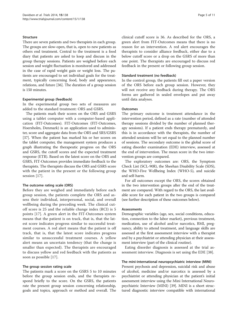## **Structure**

There are seven patients and two therapists in each group. The groups are slow-open, that is, open to new patients as others end treatment. Central to the treatment is a food diary that patients are asked to keep and discuss in the group therapy sessions. Patients are weighed before each session and weight fluctuation is monitored and addressed in the case of rapid weight gain or weight loss. The patients are encouraged to set individual goals for the treatment, typically concerning food, body and appearance, relations, and future [\[36\]](#page-10-0). The duration of a group session is 150 minutes.

## Experimental group (feedback)

In the experimental group two sets of measures are added to the standard treatment: ORS and GSRS.

The patients mark their scores on the ORS and GSRS using a tablet computer with a computer-based application (FIT-Outcomes). FIT-Outcomes (FIT-Outcomes, Hoersholm, Denmark) is an application used to administer, score and aggregate data from the ORS and SRS/GSRS [[37](#page-10-0)]. When the patient has marked his or her scores on the tablet computer, the management system produces a graph illustrating the therapeutic progress on the ORS and GSRS, the cutoff scores and the expected treatment response (ETR). Based on the latest score on the ORS and GSRS, FIT-Outcomes provides immediate feedback to the therapists. The therapists discuss the ORS and GSRS score with the patient in the present or the following group session [[17](#page-10-0)].

#### The outcome rating scale (ORS)

Before they are weighed and immediately before each group session, the patients complete the ORS and assess their individual, interpersonal, social, and overall wellbeing during the preceding week. The clinical cutoff score is 25 and the reliable change index (RCI) is 5 points [[17\]](#page-10-0). A green alert in the FIT-Outcomes system means that the patient is on track, that is, that the latest score indicates progress similar to successful treatment courses. A red alert means that the patient is off track, that is, that the latest score indicates progress similar to unsuccessful treatment courses. A yellow alert means an uncertain tendency (that the change is smaller than expected). The therapists are encouraged to discuss yellow and red feedback with the patients as soon as possible [\[17](#page-10-0)].

#### The group session rating scale

The patients mark a score on the GSRS 5 to 10 minutes before the group session ends, and the therapists respond briefly to the score. On the GSRS, the patients rate the present group session concerning relationship, goals and topics, approach or method and overall. The clinical cutoff score is 36. As described for the ORS, a green alert from FIT-Outcomes means that there is no reason for an intervention. A red alert encourages the therapists to consider alliance feedback, either due to a below cutoff score or a drop on the GSRS of more than one point. The therapists are encouraged to discuss red feedback in the present or following group session.

#### Standard treatment (no feedback)

In the control group, the patients fill out a paper version of the ORS before each group session. However, they will not receive any feedback during therapy. The ORS forms are gathered in sealed envelopes and put away until data analyses.

#### **Outcomes**

The primary outcome is treatment attendance in the intervention period, defined as a rate (number of attended therapy sessions divided by the number of planned therapy sessions). If a patient ends therapy prematurely, and this is in accordance with the therapists, the number of attended sessions will be set equal to the planned number of sessions. The secondary outcome is the global score of eating disorder examination (EDE) interview, assessed at the end of intervention. The mean score in the two intervention groups are compared.

The exploratory outcomes are: ORS, the Symptom Check List (SCL-90R), the Sheehan Disability Scale (SDS), the WHO-Five Wellbeing Index (WHO-5), and suicide and self-harm.

For all outcomes except the ORS, the scores obtained in the two intervention groups after the end of the treatment are compared. With regard to the ORS, the last available score for each patient in the two groups is compared (see further description of these outcomes below).

#### Assessments

Demographic variables (age, sex, social conditions, education, connection to the labor market), previous treatment, medication, use of alcohol and/or narcotics, BMI, pregnancy, ability to attend treatment, and language skills are assessed at the first assessment interview with a therapist and by a psychiatrist or attending physician at their assessment interview (part of the clinical routine).

Eating disorder diagnosis is assessed at the trial assessment interview. Diagnosis is set using the EDE [\[38](#page-10-0)].

#### The mini-international neuropsychiatric interview (MINI)

Present psychosis and depression, suicidal risk and abuse of alcohol, medicine and/or narcotics is assessed by a psychiatrist or attending physician at the patient's initial assessment interview using the Mini International Neuropsychiatric Interview (MINI) [\[39\]](#page-11-0). MINI is a short structured diagnostic interview compatible with international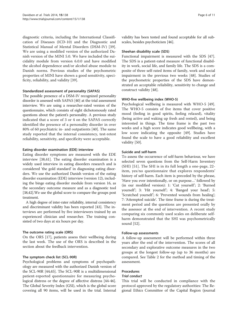diagnostic criteria, including the International Classification of Diseases (ICD-10) and the Diagnostic and Statistical Manual of Mental Disorders (DSM-IV) [\[39](#page-11-0)]. We are using a modified version of the authorized Danish version of the MINI 5.0. We have included the suicidality module from version 6.0.0 and have modified the alcohol dependence and/or alcohol abuse module to Danish norms. Previous studies of the psychometric properties of MINI have shown a good sensitivity, specificity, reliability, and validity [[39\]](#page-11-0).

## Standardized assessment of personality (SAPAS)

The possible presence of a DSM-IV recognized personality disorder is assessed with SAPAS [[40](#page-11-0)] at the trial assessment interview. We are using a researcher-rated version of the questionnaire, which consists of eight dichotomously rated questions about the patient's personality. A previous study indicated that a score of 3 or 4 on the SAPAS correctly identified the presence of a personality disorder in over 80% of 60 psychiatric in- and outpatients [\[40](#page-11-0)]. The same study reported that the internal consistency, test-retest reliability, sensitivity, and specificity were acceptable.

## Eating disorder examination (EDE) interview

Eating disorder symptoms are measured with the EDE interview [\[38](#page-10-0)[,41](#page-11-0)]. The eating disorder examination is a widely used interview in eating disorders research and is considered 'the gold standard' in diagnosing eating disorders. We use the authorized Danish version of the eating disorder examination (EDE) interview (version 12), including the binge eating disorder module from version 16, as the secondary outcome measure and as a diagnostic tool [[38](#page-10-0)[,42\]](#page-11-0).We use the global score to compare the groups post treatment.

A high degree of inter-rater reliability, internal consistency and discriminant validity has been reported [\[43\]](#page-11-0). The interviews are performed by five interviewers trained by an experienced clinician and researcher. The training consisted of two days at six hours per day.

## The outcome rating scale (ORS)

On the ORS [[17\]](#page-10-0), patients assess their wellbeing during the last week. The use of the ORS is described in the section about the feedback intervention.

## The symptom check list (SCL-90R)

Psychological problems and symptoms of psychopathology are measured with the authorized Danish version of the SCL-90R [\[44,45](#page-11-0)]. The SCL-90R is a multidimensional patient-reported questionnaire for measuring psychological distress or the degree of affective distress [[44](#page-11-0)-[46](#page-11-0)]. The Global Severity Index (GSI), which is the global score covering all 90 items, will be used in the trial. Internal validity has been tested and found acceptable for all subscales, besides psychoticism [\[46\]](#page-11-0).

## Sheehan disability scale (SDS)

Functional impairment is measured with the SDS [\[47](#page-11-0)]. The SDS is a patient-rated measure of functional disability in work, social life, and family life. The SDS is a composite of three self-rated items of family, work and social impairment in the previous two weeks [\[48\]](#page-11-0). Studies of the psychometric properties of the SDS have demonstrated an acceptable reliability, sensitivity to change and construct validity [[48](#page-11-0)].

## WHO-five wellbeing index (WHO-5)

Psychological wellbeing is measured with WHO-5 [\[49](#page-11-0)]. The WHO-5 consists of five items that cover positive mood (feeling in good spirits, feeling relaxed), vitality (being active and waking up fresh and rested), and being interested in things. The time frame is the past two weeks and a high score indicates good wellbeing, with a low score indicating the opposite [[49\]](#page-11-0). Studies have found the scale to have a good reliability and excellent validity [\[50](#page-11-0)].

## Suicide and self-harm

To assess the occurrence of self-harm behaviour, we have selected seven questions from the Self-Harm Inventory (SHI) [\[51](#page-11-0)]. The SHI is in its full length a one-page, 22 item, yes/no questionnaire that explores respondents' history of self-harm. Each item is preceded by the phrase, 'Have you ever intentionally, or on purpose…' followed by (in our modified version): 1: 'Cut yourself'; 2: 'Burned yourself'; 3: 'Hit yourself'; 4: 'Banged your head'; 5: 'Scratched yourself'; 6: 'Prevented wounds from healing'; 7: 'Attempted suicide'. The time frame is during the treatment period and the questions are presented orally by the assessor at the end of intervention. A recent study comparing six commonly used scales on deliberate selfharm demonstrated that the SHI was psychometrically sound [[52\]](#page-11-0).

## Follow-up assessments

A follow-up assessment will be performed within three years after the end of the intervention. The scores of all secondary and explorative outcome measures in the two groups at the longest follow-up (up to 36 months) are compared. See Table [2](#page-7-0) for the method and timing of the assessment.

## Procedures

## Trial conduct

This trial will be conducted in compliance with the protocol approved by the regulatory authorities: The Regional Ethics Committee of the Capital Region (journal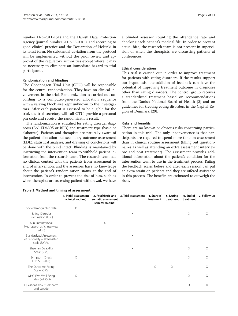<span id="page-7-0"></span>number H-3-2011-151) and the Danish Data Protection Agency (journal number 2007-58-0015), and according to good clinical practice and the Declaration of Helsinki in its latest form. No substantial deviation from the protocol will be implemented without the prior review and approval of the regulatory authorities except where it may be necessary to eliminate an immediate hazard to trial participants.

## Randomization and blinding

The Copenhagen Trial Unit (CTU) will be responsible for the central randomization. They have no clinical involvement in the trial. Randomization is carried out according to a computer-generated allocation sequence with a varying block size kept unknown to the investigators. After each patient is assessed to be eligible for the trial, the trial secretary will call CTU, provide a personal pin code and receive the randomization result.

The randomization is stratified for eating disorder diagnosis (BN, EDNOS or BED) and treatment type (basic or elaborate). Patients and therapists are naturally aware of the patient allocation but secondary outcome assessment (EDE), statistical analyses, and drawing of conclusions will be done with the blind intact. Blinding is maintained by instructing the intervention team to withhold patient information from the research team. The research team has no clinical contact with the patients from assessment to end of intervention, and the assessors have no knowledge about the patient's randomization status at the end of intervention. In order to prevent the risk of bias, such as when therapists are assessing patient withdrawal, we have

|  |  |  |  |  | Table 2 Method and timing of assessment |
|--|--|--|--|--|-----------------------------------------|
|--|--|--|--|--|-----------------------------------------|

a blinded assessor counting the attendance rate and checking each patient's medical file. In order to prevent actual bias, the research team is not present in supervision or when the therapists are discussing patients at conferences.

## Ethical considerations

This trial is carried out in order to improve treatment for patients with eating disorders. If the results support our hypothesis, the addition of feedback can have the potential of improving treatment outcome in diagnoses other than eating disorders. The control group receives a standardized treatment based on recommendations from the Danish National Board of Health [[2\]](#page-10-0) and on guidelines for treating eating disorders in the Capital Region of Denmark [[29](#page-10-0)].

## Risks and benefits

There are no known or obvious risks concerning participation in this trial. The only inconvenience is that participants are required to spend more time on assessment than in clinical routine assessment (filling out questionnaires as well as attending an extra assessment interview pre and post treatment). The assessment provides additional information about the patient's condition for the intervention team to use in the treatment process. Rating the feedback scales before and after each session can put an extra strain on patients and they are offered assistance in this process. The benefits are estimated to outweigh the risks.

|                                                                          | 1. Initial assessment<br>(clinical routine) | 2. Psychiatric and<br>somatic assessment<br>(clinical routine) | 3. Trial assessment | 4. Start of<br>treatment | 5. During<br>treatment | 6. End of<br>treatment | 7. Follow-up |
|--------------------------------------------------------------------------|---------------------------------------------|----------------------------------------------------------------|---------------------|--------------------------|------------------------|------------------------|--------------|
| Sociodemographic data                                                    | X                                           |                                                                |                     |                          |                        |                        |              |
| Eating Disorder<br>Examination (EDE)                                     |                                             |                                                                | Χ                   |                          |                        | X                      | Χ            |
| Mini International<br>Neuropsychiatric Interview<br>(MINI)               |                                             | $\times$                                                       |                     |                          |                        |                        |              |
| Standardized Assessment<br>of Personality - Abbreviated<br>Scale (SAPAS) |                                             |                                                                | Χ                   |                          |                        |                        |              |
| Sheehan Disability<br>Scale (SDS)                                        |                                             |                                                                | $\times$            |                          |                        | X                      | X            |
| Symptom Check<br>List (SCL-90-R)                                         | X                                           |                                                                |                     |                          |                        | X                      | X            |
| The Outcome Rating<br>Scale (ORS)                                        |                                             |                                                                |                     | X                        | $\times$               |                        | Χ            |
| WHO-Five Well Being<br>Index (WHO-5)                                     | X                                           |                                                                |                     |                          |                        | X                      | X            |
| Questions about self-harm<br>and suicide                                 |                                             |                                                                |                     |                          |                        | Χ                      | X            |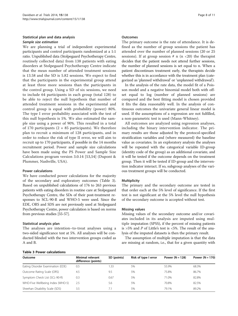## Statistical plan and data analysis Sample size estimation

We are planning a trial of independent experimental participants and control participants randomized at a 1:1 ratio. Unpublished data (Stolpegaard Psychotherapy Centre, routinely collected data) from 138 patients with eating disorders at Stolpegaard Psychotherapy Centre indicate that the mean number of attended treatment sessions is 13.58 and the SD is 5.82 sessions. We expect to find that the participants in the experimental group attend at least three more sessions than the participants in the control group. Using a SD of six sessions, we need to include 64 participants in each group (total 128) to be able to reject the null hypothesis that number of attended treatment sessions in the experimental and control group is equal with probability (power) 80%. The type I error probability associated with the test of this null hypothesis is 5%. We also estimated the sample size using a power of 90%. This resulted in a total of 170 participants ( $2 \times 85$  participants). We therefore plan to recruit a minimum of 128 participants, and in order to reduce the risk of type II error, we will aim to recruit up to 170 participants, if possible in the 14 months recruitment period. Power and sample size calculations have been made using the PS Power and Sample Size Calculations program version 3.0.14 [[53,54](#page-11-0)] (Dupont & Plummer, Nashville, USA).

## Power calculations

We have conducted power calculations for the majority of the secondary and exploratory outcomes (Table 3). Based on unpublished calculations of 176 to 263 previous patients with eating disorders in routine care at Stolpegaard Psychotherapy Centre, the SDs of their post-treatment responses to SCL-90-R and WHO-5 were used. Since the EDE, ORS and SDS are not previously used at Stolpegaard Psychotherapy Centre, power calculation is based on norms from previous studies [\[55](#page-11-0)-[57](#page-11-0)].

## Statistical analysis plan

The analyses are intention–to-treat analyses using a two-sided significance test at 5%. All analyses will be conducted blinded with the two intervention groups coded as A and B.

#### Table 3 Power calculations

#### **Outcomes**

The primary outcome is the rate of attendance. It is defined as the number of group sessions the patient has attended over the number of planned sessions (20 or 25 sessions). If at group session  $# n$  (n <20) the therapist decides that the patient needs not attend further sessions, the number of planned sessions is set equal to n. When a patient discontinues treatment early, the therapists decide whether this is in accordance with the treatment plan (categorized as 'planned withdrawal' or 'unplanned withdrawal').

In the analysis of the rate data, the model fit of a Poisson model and a negative binomial model both with offset equal to log (number of planned sessions) are compared and the best fitting model is chosen provided it fits the data reasonably well. In the analysis of continuous outcomes the univariate general linear model is used. If the assumptions of a regression are not fulfilled, a non-parametric test is used (Mann-Whitney).

All outcomes are analyzed using regression analyses, including the binary intervention indicator. The primary results are those adjusted by the protocol-specified stratification variables and (where measured) the baseline value as covariates. In an exploratory analysis the analyses will be repeated with the categorical variable ID-group (identity code of the group) as an additional covariate, and it will be tested if the outcome depends on the treatment group. Then it will be tested if ID-group and the intervention indicator interact. If so, subgroup analyses of the various treatment groups will be conducted.

## **Multiplicity**

The primary and the secondary outcome are tested in that order each at the 5% level of significance. If the first test is not significant at the 5% level the null hypothesis of the secondary outcome is accepted without test.

#### Missing values

Missing values of the secondary outcome and/or covariates included in its analysis are imputed using multiple imputation (SPSS), if the percent of missing patients is  $>5\%$  and P of Little's test is  $<5\%$ . The result of the analysis of the imputed datasets is then the primary result.

The assumption of multiple imputation is that the data are missing at random, i.e., that for a given quantity with

| Outcome                           | <b>Minimal relevant</b><br>difference (points) | SD (points) | Risk of type I error | Power $(N = 128)$ | Power $(N = 170)$ |
|-----------------------------------|------------------------------------------------|-------------|----------------------|-------------------|-------------------|
| Eating Disorder Examination (EDE) | 0.5                                            | 1.33        | 5%                   | 55.9%             | 68.3%             |
| Outcome Rating Scale (ORS)        | 4.5                                            | 9.5         | 5%                   | 75.8%             | 86.7%             |
| Symptom Check List (SCL-90-R)     | 0.3                                            | 0.67        | 5%                   | 71.0%             | 82.8%             |
| WHO-Five Wellbeing Index (WHO-5)  | 2.5                                            | 5.6         | 5%                   | 70.8%             | 82.5%             |
| Sheehan Disability Scale (SDS)    | 3.5                                            | 7.1         | 5%                   | 79.1%             | 89.2%             |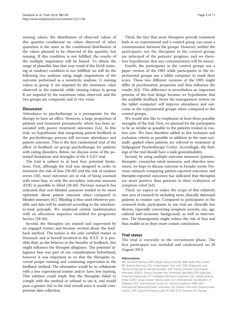missing values, the distribution of observed values of this quantity conditional on values observed of other quantities is the same as the conditional distribution of the values planned to be observed of the quantity, but missing. If this condition is not fulfilled, the results of the multiple imputation will be biased. To obtain the range of plausible bias that may result if the MAR (missing at random) condition is not fulfilled, we will do the following two analyses using single imputations of the outcome performed as a sensitivity analysis: 1) missing values in group A are imputed by the minimum value observed in the material, while missing values in group B are imputed by the maximum value observed, and the two groups are compared; and 2) vice versa.

## Discussion

Attendance to psychotherapy is a prerequisite for the therapy to have an effect. However, a large proportion of patients end treatment prematurely, which has been associated with poorer treatment outcomes [\[5](#page-10-0),[6](#page-10-0)]. In this trial, we hypothesize that integrating patient feedback in the psychotherapy process will increase attendance and patient outcome. This is the first randomized trial of the effect of feedback on group psychotherapy for patients with eating disorders. Below, we discuss some of the potential limitations and strengths of the F-EAT trial.

The trial is subject to at least four potential limitations. First, although the trial was designed in order to minimize the risk of bias [[58-60\]](#page-11-0) and the risk of random errors [[58\]](#page-11-0), most outcomes are at risk of being assessed with some bias, as only the secondary outcome measure (EDE) is possible to blind [\[58](#page-11-0)-[60](#page-11-0)]. Previous research has indicated that non-blinded assessors tended to be more optimistic about patient outcome when compared to blinded assessors [\[61\]](#page-11-0). Blinding is thus used whenever possible and data will be analyzed according to the intentionto-treat principle. We employed central randomization with an allocation sequence stratified for prognostic factors [\[58-60\]](#page-11-0).

Second, the therapists are trained and supervised by an engaged trainer and became excited about the feedback method. The trainer is the only certified trainer in Denmark and is herself involved in the ICCE. It is possible that, as she believes in the benefits of feedback, this might influence the therapist allegiance. The potential allegiance bias was part of our considerations beforehand, however it was important to us that the therapists received proper training and continuing supervision in the feedback method. The alternative would be to collaborate with a less experienced trainer and/or have less training. This solution could imply that the therapists failed to comply with the method or refused to use it, and would pose a greater risk to the trial overall since it would compromise data collection.

Third, the fact that most therapists provide treatment both in an experimental and a control group can cause a contamination between the groups. However, neither the participants nor the therapists in the control groups are informed of the patients' progress, and we therefore hypothesize that any contamination will be minor.

Fourth, the participants in the control groups use a paper version of the ORS while participants in the experimental groups use a tablet computer to mark their score. These two different versions of the ORS might differ in psychometric properties and thus influence the results [\[62\]](#page-11-0). This difference is nevertheless an important premise of the trial design because we hypothesize that the available feedback (from the management system on the tablet computer) will improve attendance and outcome in the experimental groups when compared to the control groups.

We would also like to emphasize at least three possible strengths of the trial. First, we planned for the participants to be as similar as possible to the patients treated in routine care. We have therefore added as few inclusion and exclusion criteria as possible in addition to the ones normally applied when patients are referred to treatment at Stolpegaard Psychotherapy Centre. Accordingly, the findings of the trial should have a wide generalizability.

Second, by using multiple outcome measures (patient-, therapist-, researcher-rated measures, and objective measures), we hope to discuss outcome in broader terms. Previous research comparing patient-reported outcomes and therapist-reported outcomes has indicated that therapists are more positive than patients in their evaluation of symptom relief [\[63\]](#page-11-0).

Third, we expect to widen the scope of this relatively new area of research by including more clinically distressed patients in routine care. Compared to participants in the reviewed trials, participants in our trial are clinically less diverse, especially concerning symptom severity, sex, age, cultural and economic background, as well as intervention. The homogeneity might reduce the risk of bias and thus enable us to draw more certain conclusions.

## Trial status

The trial is currently in the recruitment phase. The first participant was included and randomized on 28 August 2012.

#### Abbreviations

AN: Anorexia Nervosa; BED: Binge Eating Disorder; BMI: Body Mass Index; BN: Bulimia Nervosa; CTU: Copenhagen Trial Unit; DSM: Diagnostic and Statistical Manual of mental disorders; EDE: Eating Disorder Examination interview; EDNOS: Eating Disorder Not Otherwise Specified; ETR: Expected Treatment Response; FIT: Feedback Informed Treatment; GSI: Global Severity Index; GSRS: Group Session Rating Scale; ICD: International Classification of Diseases; ICCE: International Center for Clincial Excellence; MINI: Mini International Neuropsychiatric Interview; OQ System: Outcome Questionnaire System; ORS: Outcome Rating Scale; PCOMS ICCE: Partners for Change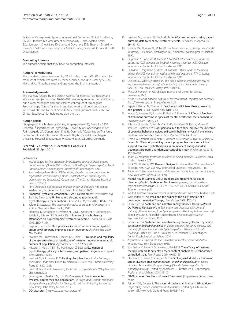<span id="page-10-0"></span>Outcome Management System: International Center for Clinical Excellence; SAPAS: Standardized Assessment of Personality – Abbreviated Scale; SCL: Symptom Check List; SD: Standard Deviation; SDS: Sheehan Disability Scale; SHI: Self-Harm Inventory; SRS: Session Rating Scale; WHO: World Health Organization.

#### Competing interests

The authors declare that they have no competing interests.

#### Authors' contributions

The trial design was developed by SP, ML, MW, JL and AD. AD drafted the manuscript, which was carefully revised, edited, and discussed by SP, ML, MW and JL. All authors read and approved the final manuscript.

#### Acknowledgements

The trial was funded by the Danish Agency for Science, Technology and Innovation (project number 10–084080). We are grateful to the participants, our clinical colleagues and our research colleagues at Stolpegaard Psychotherapy Centre for their input, hard work and good cooperation. We would also like to thank Scott D Miller, PhD (International Center for Clinical Excellence) for helping us plan the trial.

#### Author details

<sup>1</sup>Stolpegaard Psychotherapy Centre, Stolpegaardsvej 20, Gentofte 2820, Denmark. <sup>2</sup>Department of Psychology, University of Copenhagen, Øster Farimagsgade 2A, Copenhagen K 1353, Denmark. <sup>3</sup>Copenhagen Trial Unit, Centre for Clinical Intervention Research, Rigshospitalet, Copenhagen University Hospital, Blegdamsvej 9, Copenhagen, OE 2100, Denmark.

#### Received: 17 October 2013 Accepted: 1 April 2014 Published: 23 April 2014

#### References

- 1. Waaddegaard M: Risk behaviour for developing eating disorders among Danish women [Danish: Risikoadfærd For Udvikling Af Spiseforstyrrelser Blandt Danske Kvinder]. Copenhagen: University of Copenhagen; 2002.
- Sundhedsstyrelsen, Health DNBo: Eating disorders. recommendations for organisation and treatment [Danish: Spiseforstyrrelser. Anbefalinger for organisation og behandling]. Copenhagen: The Danish National Board of Health; 2005:1.0.
- 3. APA: Diagnostic and statistical manual of mental disorders. 4th edition. Washington, DC: American Psychiatric Association; 2000.
- 4. American Psychiatric Association DSM-5 Development. [\[www.dsm5.org](http://www.dsm5.org)] 5. Swift JK, Greenberg RP: Premature discontinuation in adult
- psychotherapy: a meta-analysis. J Consult Clin Psychol 2012, 80:547–559. 6. Yalom ID, Leszcz M: The theory and practice of group psychotherapy. 5th
- edition. New York: Basic Books; 2005. 7. Montoya ID, Schroeder JR, Preston KL, Covi L, Umbricht A, Contoreggi C, Fudala PJ, Johnson RE, Gorelick DA: Influence of psychotherapy attendance on buprenorphine treatment outcome. J Subst Abuse Treat 2005, 28:247–254.
- 8. Page AC, Hooke GR: Best practices: increased attendance in inpatient group psychotherapy improves patient outcomes. Psychiatr Serv 2009, 60:426–428.
- 9. Reardon ML, Cukrowicz KC, Reeves MD, Joiner TE: Duration and regularity of therapy attendance as predictors of treatment outcome in an adult outpatient population. Psychother Res 2002, 12:273–285.
- 10. Howard KI, Moras K, Brill PL, Martinovich Z, Lutz W: Evaluation of psychotherapy: efficacy, effectiveness, and patient progress. Am Psychol 1996, 51:1059–1064.
- 11. Lambert M, Shimokawa K: Collecting client feedback. In Psychotherapy relationships that work. Edited by Norcross JC. New York: Oxford University Press; 2011:203–223.
- 12. Green D, Latchford G: Maximising the benefits of psychotherapy. Wiley-Blackwell: Chichester; 2012.
- 13. Castonguay L, Barkham M, Lutz W, McAleavey A: Practice-oriented research: approaches and applications. In Bergin and Garfield's Handbook of psychotherapy and behavior Change. 6th edition. Edited by Lambert M. New Jersey: John Wiley & Sons; 2013.
- 14. OQ Measures. [\[http://www.oqmeasures.com/](http://www.oqmeasures.com/)]
- 15. Lambert MJ, Hansen NB, Finch AE: Patient-focused research: using patient outcome data to enhance treatment effects. J Consult Clin Psychol 2001, 69:159–72.
- 16. Hubble MA, Duncan BL, Miller SD: The heart and soul of change: what works in therapy. 1st edition. Washington DC: American Psychological Association; 1999.
- 17. Bargmann S, Robinson B: Manual 2. Feedback-informed clinical work: the basics. the ICCE manuals on feedback-informed treatment (FIT). Chicago: International Center for Clinical Excellence; 2012.
- 18. Bertolino B, Bargmann S, Miller SD: Manual 1. What works in therapy: a primer. the ICCE manuals on feedback-informed treatment (FIT). Chicago: International Center for Clinical Excellence; 2012.
- 19. Duncan BL, Miller SD, Sparks JA: The heroic client: a revolutionary way to improve effectiveness through client-directed, outcome-informed therapy (Rev. Ed.). San Fransisco: Jossey-Bass; 2004:266.
- 20. The ICCE manuals on FIT. Chicago International Center for Clinical Excellence; 2012.
- 21. NREPP: SAMHSA's National Registry of Evidence-based Programs and Practices. [<http://www.nrepp.samhsa.gov/Index.aspx>]
- 22. Sapyta J, Riemer M, Bickman L: Feedback to clinicians: theory, research, and practice. J Clin Psychol 2005, 61:145-53.
- 23. Knaup C, Koesters M, Schoefer D, Becker T, Puschner B: Effect of feedback of treatment outcome in specialist mental healthcare: meta-analysis. Br J Psychiatry 2009, 195:15–22.
- 24. Schmidt U, Landau S, Pombo-Carril MG, Bara-Carril N, Reid Y, Murray K, Treasure J, Katzman M: Does personalized feedback improve the outcome of cognitive-behavioral guided self-care in bulimia nervosa? A preliminary randomized controlled trial. Br J Clin Psychol 2006, 45:111–21.
- 25. Simon W, Lambert MJ, Busath G, Vazquez A, Berkeljon A, Hyer K, Granley M, Berrett M: Effects of providing patient progress feedback and clinical support tools to psychotherapists in an inpatient eating disorders treatment program: a randomized controlled study. Psychother res 2013, 23:287–300.
- 26. Truitt KG: Modeling treatment outcomes in eating disorders. California: Loma Linda University; 2011.
- 27. Nock MKJ IB, Wedig MM: Research Designs. In Evidence-Based Outcome Research. Edited by Nezu AMN CM. New York: Oxford University Press; 2008:201–18.
- 28. Andersen T: The reflecting team: dialogues and dialogues about the dialogues. New York: WW Norton & Co.; 1991.
- 29. Mental Health Services CRoD: Standardized treatment for eating disorders [Danish: Pakkeforløb For Spiseforstyrrelser]. [[www.psykiatri](http://www.psykiatri-regionh.dk/NR/rdonlyres/4F3407A5-16AE-42A3-9B73-1291DC264B6A/0/Spiseforstyrrelser.pdf)[regionh.dk/NR/rdonlyres/4F3407A5-16AE-42A3-9B73-1291DC264B6A/0/](http://www.psykiatri-regionh.dk/NR/rdonlyres/4F3407A5-16AE-42A3-9B73-1291DC264B6A/0/Spiseforstyrrelser.pdf) [Spiseforstyrrelser.pdf\]](http://www.psykiatri-regionh.dk/NR/rdonlyres/4F3407A5-16AE-42A3-9B73-1291DC264B6A/0/Spiseforstyrrelser.pdf)
- 30. White J, Epston D: Narrative means to therapeutic ends. New York: Norton; 1990.
- 31. Weingarten K: The small and the ordinary: the daily practice of a postmodern narrative Therapy. Fam Process 1998, 37:3–15.
- 32. Rasmussen SA: Systemic and narrative family theory [Danish: Systemisk Og Narrativ Familieteori]. In Eating disorders illustrated clinically and culturally [Danish: Frås og faste Spiseforstyrrelser i klinisk og kulturel belysning]. Edited by Lunn S, Rokkedal K, Rosenbaum B. Copenhagen: Danish Psychological publishers; 2010.
- 33. Rasmussen SA: Systemic and narrative family therapy [Danish: Systemisk og narrativ familiebehandling]. In Eating disorders illustrated clinically and culturally [Danish: Frås Og Faste Spiseforstyrrelser I Klinisk Og Kulturel Belysning]. Edited by Lunn S, Rokkedal K, Rosenbaum B. Copenhagen: Danish Psychological publishers; 2010.
- 34. Asylums GE: Essays on the social situation of mental patients and other inmates. New York: Doubleday; 1961.
- 35. von Sydow K, Beher S, Schweitzer J, Retzlaff R: The efficacy of systemic therapy with adult patients: a meta-content analysis of 38 randomized controlled trials. Fam Process 2010, 49:457–85.
- 36. Plambech B, Lau M, Christensen G: The Stolpegaard Model a treatment option [Danish: Stolpegårdmodellen - et behandlingstilbud]. In Eating disorders. An interdisciplinary anthology [Danish: Spiseforstyrrelser. En tværfaglig antologi]. Edited by Andreasen J, Christiansen E. Copenhagen: Frydenlund publishers; 2000:343–65.
- 37. FIT-Outcomes: Feedback Informed Treatment. [[https://www.fit-outcomes.](https://www.fit-outcomes.com/) [com/\]](https://www.fit-outcomes.com/)
- 38. Fairburn CG, Cooper Z: The eating disorder examination (12th edition). In Binge eating: nature, assessment and treatment. Edited by Fairburn CG, Wilson GT. New York: Guilford Press; 1993:317–60.